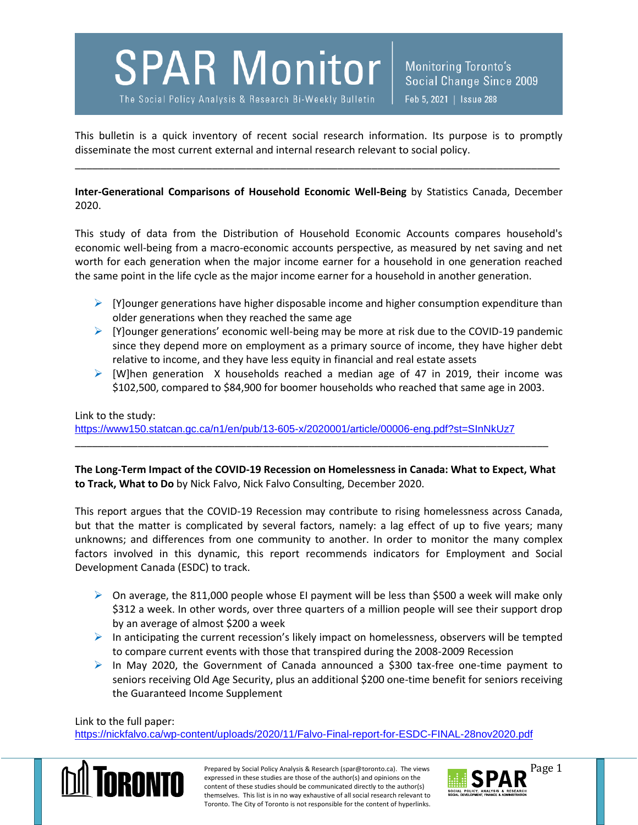**SPAR Monitor** Monitoring Toronto's Social Change Since 2009 The Social Policy Analysis & Research Bi-Weekly Bulletin Feb 5, 2021 | Issue 288

This bulletin is a quick inventory of recent social research information. Its purpose is to promptly disseminate the most current external and internal research relevant to social policy.

\_\_\_\_\_\_\_\_\_\_\_\_\_\_\_\_\_\_\_\_\_\_\_\_\_\_\_\_\_\_\_\_\_\_\_\_\_\_\_\_\_\_\_\_\_\_\_\_\_\_\_\_\_\_\_\_\_\_\_\_\_\_\_\_\_\_\_\_\_\_\_\_\_\_\_\_\_\_\_\_\_\_\_\_\_

**Inter-Generational Comparisons of Household Economic Well-Being** by Statistics Canada, December 2020.

This study of data from the Distribution of Household Economic Accounts compares household's economic well-being from a macro-economic accounts perspective, as measured by net saving and net worth for each generation when the major income earner for a household in one generation reached the same point in the life cycle as the major income earner for a household in another generation.

- $\triangleright$  [Y]ounger generations have higher disposable income and higher consumption expenditure than older generations when they reached the same age
- $\triangleright$  [Y]ounger generations' economic well-being may be more at risk due to the COVID-19 pandemic since they depend more on employment as a primary source of income, they have higher debt relative to income, and they have less equity in financial and real estate assets
- $\triangleright$  [W]hen generation X households reached a median age of 47 in 2019, their income was \$102,500, compared to \$84,900 for boomer households who reached that same age in 2003.

## Link to the study: <https://www150.statcan.gc.ca/n1/en/pub/13-605-x/2020001/article/00006-eng.pdf?st=SInNkUz7>

**The Long-Term Impact of the COVID-19 Recession on Homelessness in Canada: What to Expect, What to Track, What to Do** by Nick Falvo, Nick Falvo Consulting, December 2020.

\_\_\_\_\_\_\_\_\_\_\_\_\_\_\_\_\_\_\_\_\_\_\_\_\_\_\_\_\_\_\_\_\_\_\_\_\_\_\_\_\_\_\_\_\_\_\_\_\_\_\_\_\_\_\_\_\_\_\_\_\_\_\_\_\_\_\_\_\_\_\_\_\_\_\_\_\_\_\_\_\_\_\_

This report argues that the COVID-19 Recession may contribute to rising homelessness across Canada, but that the matter is complicated by several factors, namely: a lag effect of up to five years; many unknowns; and differences from one community to another. In order to monitor the many complex factors involved in this dynamic, this report recommends indicators for Employment and Social Development Canada (ESDC) to track.

- $\triangleright$  On average, the 811,000 people whose EI payment will be less than \$500 a week will make only \$312 a week. In other words, over three quarters of a million people will see their support drop by an average of almost \$200 a week
- $\triangleright$  In anticipating the current recession's likely impact on homelessness, observers will be tempted to compare current events with those that transpired during the 2008-2009 Recession
- $\triangleright$  In May 2020, the Government of Canada announced a \$300 tax-free one-time payment to seniors receiving Old Age Security, plus an additional \$200 one-time benefit for seniors receiving the Guaranteed Income Supplement

Link to the full paper:

<https://nickfalvo.ca/wp-content/uploads/2020/11/Falvo-Final-report-for-ESDC-FINAL-28nov2020.pdf>



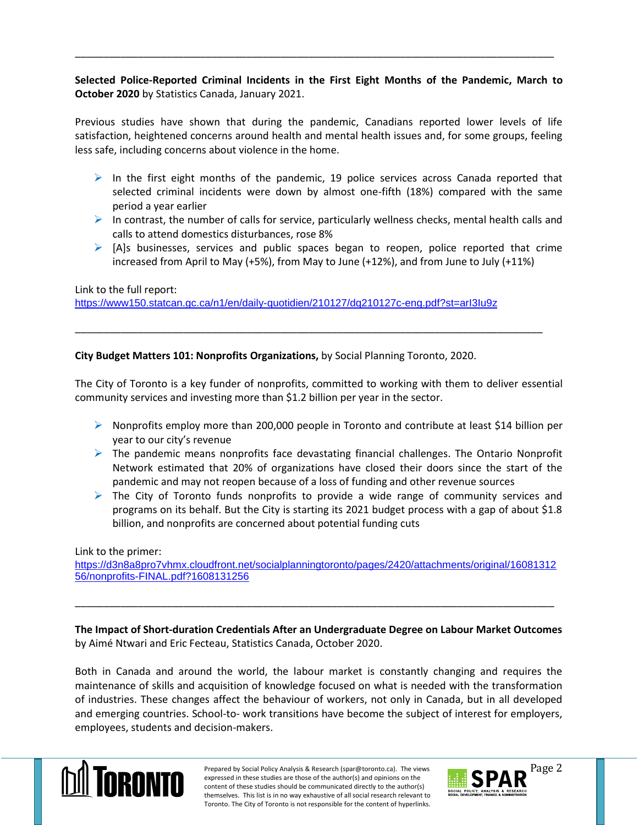## **Selected Police-Reported Criminal Incidents in the First Eight Months of the Pandemic, March to October 2020** by Statistics Canada, January 2021.

\_\_\_\_\_\_\_\_\_\_\_\_\_\_\_\_\_\_\_\_\_\_\_\_\_\_\_\_\_\_\_\_\_\_\_\_\_\_\_\_\_\_\_\_\_\_\_\_\_\_\_\_\_\_\_\_\_\_\_\_\_\_\_\_\_\_\_\_\_\_\_\_\_\_\_\_\_\_\_\_\_\_\_\_

Previous studies have shown that during the pandemic, Canadians reported lower levels of life satisfaction, heightened concerns around health and mental health issues and, for some groups, feeling less safe, including concerns about violence in the home.

- $\triangleright$  In the first eight months of the pandemic, 19 police services across Canada reported that selected criminal incidents were down by almost one-fifth (18%) compared with the same period a year earlier
- In contrast, the number of calls for service, particularly wellness checks, mental health calls and calls to attend domestics disturbances, rose 8%
- $\triangleright$  [A]s businesses, services and public spaces began to reopen, police reported that crime increased from April to May (+5%), from May to June (+12%), and from June to July (+11%)

Link to the full report: <https://www150.statcan.gc.ca/n1/en/daily-quotidien/210127/dq210127c-eng.pdf?st=arI3Iu9z>

**City Budget Matters 101: Nonprofits Organizations,** by Social Planning Toronto, 2020.

The City of Toronto is a key funder of nonprofits, committed to working with them to deliver essential community services and investing more than \$1.2 billion per year in the sector.

\_\_\_\_\_\_\_\_\_\_\_\_\_\_\_\_\_\_\_\_\_\_\_\_\_\_\_\_\_\_\_\_\_\_\_\_\_\_\_\_\_\_\_\_\_\_\_\_\_\_\_\_\_\_\_\_\_\_\_\_\_\_\_\_\_\_\_\_\_\_\_\_\_\_\_\_\_\_\_\_\_\_

- $\triangleright$  Nonprofits employ more than 200,000 people in Toronto and contribute at least \$14 billion per year to our city's revenue
- $\triangleright$  The pandemic means nonprofits face devastating financial challenges. The Ontario Nonprofit Network estimated that 20% of organizations have closed their doors since the start of the pandemic and may not reopen because of a loss of funding and other revenue sources
- $\triangleright$  The City of Toronto funds nonprofits to provide a wide range of community services and programs on its behalf. But the City is starting its 2021 budget process with a gap of about \$1.8 billion, and nonprofits are concerned about potential funding cuts

## Link to the primer:

[https://d3n8a8pro7vhmx.cloudfront.net/socialplanningtoronto/pages/2420/attachments/original/16081312](https://d3n8a8pro7vhmx.cloudfront.net/socialplanningtoronto/pages/2420/attachments/original/1608131256/nonprofits-FINAL.pdf?1608131256) [56/nonprofits-FINAL.pdf?1608131256](https://d3n8a8pro7vhmx.cloudfront.net/socialplanningtoronto/pages/2420/attachments/original/1608131256/nonprofits-FINAL.pdf?1608131256)

\_\_\_\_\_\_\_\_\_\_\_\_\_\_\_\_\_\_\_\_\_\_\_\_\_\_\_\_\_\_\_\_\_\_\_\_\_\_\_\_\_\_\_\_\_\_\_\_\_\_\_\_\_\_\_\_\_\_\_\_\_\_\_\_\_\_\_\_\_\_\_\_\_\_\_\_\_\_\_\_\_\_\_\_

**The Impact of Short-duration Credentials After an Undergraduate Degree on Labour Market Outcomes** by Aimé Ntwari and Eric Fecteau, Statistics Canada, October 2020.

Both in Canada and around the world, the labour market is constantly changing and requires the maintenance of skills and acquisition of knowledge focused on what is needed with the transformation of industries. These changes affect the behaviour of workers, not only in Canada, but in all developed and emerging countries. School-to- work transitions have become the subject of interest for employers, employees, students and decision-makers.



Prepared by Social Policy Analysis & Research (spar@toronto.ca). The views Page 2 expressed in these studies are those of the author(s) and opinions on the content of these studies should be communicated directly to the author(s) themselves. This list is in no way exhaustive of all social research relevant to Toronto. The City of Toronto is not responsible for the content of hyperlinks.